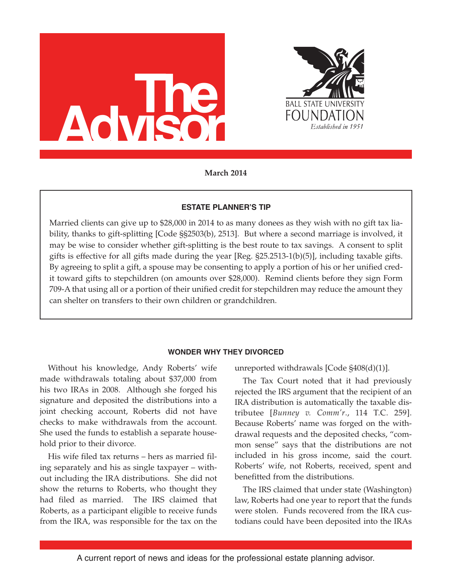



**March 2014**

# **ESTATE PLANNER'S TIP**

Married clients can give up to \$28,000 in 2014 to as many donees as they wish with no gift tax liability, thanks to gift-splitting [Code §§2503(b), 2513]. But where a second marriage is involved, it may be wise to consider whether gift-splitting is the best route to tax savings. A consent to split gifts is effective for all gifts made during the year [Reg. §25.2513-1(b)(5)], including taxable gifts. By agreeing to split a gift, a spouse may be consenting to apply a portion of his or her unified credit toward gifts to stepchildren (on amounts over \$28,000). Remind clients before they sign Form 709-A that using all or a portion of their unified credit for stepchildren may reduce the amount they can shelter on transfers to their own children or grandchildren.

# **WONDER WHY THEY DIVORCED**

Without his knowledge, Andy Roberts' wife made withdrawals totaling about \$37,000 from his two IRAs in 2008. Although she forged his signature and deposited the distributions into a joint checking account, Roberts did not have checks to make withdrawals from the account. She used the funds to establish a separate household prior to their divorce.

His wife filed tax returns – hers as married filing separately and his as single taxpayer – without including the IRA distributions. She did not show the returns to Roberts, who thought they had filed as married. The IRS claimed that Roberts, as a participant eligible to receive funds from the IRA, was responsible for the tax on the unreported withdrawals [Code §408(d)(1)].

The Tax Court noted that it had previously rejected the IRS argument that the recipient of an IRA distribution is automatically the taxable distributee [*Bunney v. Comm'r*., 114 T.C. 259]. Because Roberts' name was forged on the withdrawal requests and the deposited checks, "common sense" says that the distributions are not included in his gross income, said the court. Roberts' wife, not Roberts, received, spent and benefitted from the distributions.

The IRS claimed that under state (Washington) law, Roberts had one year to report that the funds were stolen. Funds recovered from the IRA custodians could have been deposited into the IRAs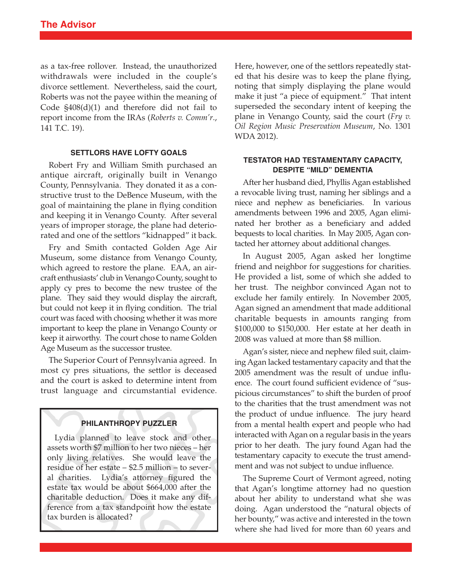as a tax-free rollover. Instead, the unauthorized withdrawals were included in the couple's divorce settlement. Nevertheless, said the court, Roberts was not the payee within the meaning of Code §408(d)(1) and therefore did not fail to report income from the IRAs (*Roberts v. Comm'r*., 141 T.C. 19).

#### **SETTLORS HAVE LOFTY GOALS**

Robert Fry and William Smith purchased an antique aircraft, originally built in Venango County, Pennsylvania. They donated it as a constructive trust to the DeBence Museum, with the goal of maintaining the plane in flying condition and keeping it in Venango County. After several years of improper storage, the plane had deteriorated and one of the settlors "kidnapped" it back.

Fry and Smith contacted Golden Age Air Museum, some distance from Venango County, which agreed to restore the plane. EAA, an aircraft enthusiasts' club in Venango County, sought to apply cy pres to become the new trustee of the plane. They said they would display the aircraft, but could not keep it in flying condition. The trial court was faced with choosing whether it was more important to keep the plane in Venango County or keep it airworthy. The court chose to name Golden Age Museum as the successor trustee.

The Superior Court of Pennsylvania agreed. In most cy pres situations, the settlor is deceased and the court is asked to determine intent from trust language and circumstantial evidence.

#### **PHILANTHROPY PUZZLER**

Lydia planned to leave stock and other assets worth \$7 million to her two nieces – her only living relatives. She would leave the residue of her estate – \$2.5 million – to several charities. Lydia's attorney figured the estate tax would be about \$664,000 after the charitable deduction. Does it make any difference from a tax standpoint how the estate tax burden is allocated?

Here, however, one of the settlors repeatedly stated that his desire was to keep the plane flying, noting that simply displaying the plane would make it just "a piece of equipment." That intent superseded the secondary intent of keeping the plane in Venango County, said the court (*Fry v. Oil Region Music Preservation Museum*, No. 1301 WDA 2012).

## **TESTATOR HAD TESTAMENTARY CAPACITY, DESPITE "MILD" DEMENTIA**

After her husband died, Phyllis Agan established a revocable living trust, naming her siblings and a niece and nephew as beneficiaries. In various amendments between 1996 and 2005, Agan eliminated her brother as a beneficiary and added bequests to local charities. In May 2005, Agan contacted her attorney about additional changes.

In August 2005, Agan asked her longtime friend and neighbor for suggestions for charities. He provided a list, some of which she added to her trust. The neighbor convinced Agan not to exclude her family entirely. In November 2005, Agan signed an amendment that made additional charitable bequests in amounts ranging from \$100,000 to \$150,000. Her estate at her death in 2008 was valued at more than \$8 million.

Agan's sister, niece and nephew filed suit, claimingAgan lacked testamentary capacity and that the 2005 amendment was the result of undue influence. The court found sufficient evidence of "suspicious circumstances" to shift the burden of proof to the charities that the trust amendment was not the product of undue influence. The jury heard from a mental health expert and people who had interacted with Agan on a regular basis in the years prior to her death. The jury found Agan had the testamentary capacity to execute the trust amendment and was not subject to undue influence.

The Supreme Court of Vermont agreed, noting that Agan's longtime attorney had no question about her ability to understand what she was doing. Agan understood the "natural objects of her bounty," was active and interested in the town where she had lived for more than 60 years and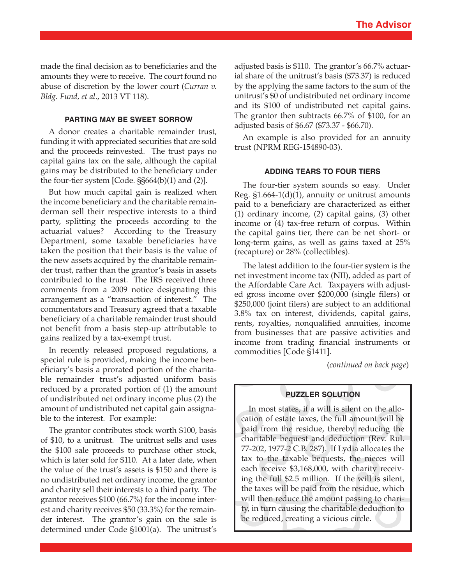made the final decision as to beneficiaries and the amounts they were to receive. The court found no abuse of discretion by the lower court (*Curran v. Bldg. Fund, et al*., 2013 VT 118).

# **PARTING MAY BE SWEET SORROW**

A donor creates a charitable remainder trust, funding it with appreciated securities that are sold and the proceeds reinvested. The trust pays no capital gains tax on the sale, although the capital gains may be distributed to the beneficiary under the four-tier system [Code. §§664(b)(1) and (2)].

But how much capital gain is realized when the income beneficiary and the charitable remainderman sell their respective interests to a third party, splitting the proceeds according to the actuarial values? According to the Treasury Department, some taxable beneficiaries have taken the position that their basis is the value of the new assets acquired by the charitable remainder trust, rather than the grantor's basis in assets contributed to the trust. The IRS received three comments from a 2009 notice designating this arrangement as a "transaction of interest." The commentators and Treasury agreed that a taxable beneficiary of a charitable remainder trust should not benefit from a basis step-up attributable to gains realized by a tax-exempt trust.

In recently released proposed regulations, a special rule is provided, making the income beneficiary's basis a prorated portion of the charitable remainder trust's adjusted uniform basis reduced by a prorated portion of (1) the amount of undistributed net ordinary income plus (2) the amount of undistributed net capital gain assignable to the interest. For example:

The grantor contributes stock worth \$100, basis of \$10, to a unitrust. The unitrust sells and uses the \$100 sale proceeds to purchase other stock, which is later sold for \$110. At a later date, when the value of the trust's assets is \$150 and there is no undistributed net ordinary income, the grantor and charity sell their interests to a third party. The grantor receives \$100 (66.7%) for the income interest and charity receives \$50 (33.3%) for the remainder interest. The grantor's gain on the sale is determined under Code §1001(a). The unitrust's adjusted basis is \$110. The grantor's 66.7% actuarial share of the unitrust's basis (\$73.37) is reduced by the applying the same factors to the sum of the unitrust's \$0 of undistributed net ordinary income and its \$100 of undistributed net capital gains. The grantor then subtracts 66.7% of \$100, for an adjusted basis of \$6.67 (\$73.37 - \$66.70).

An example is also provided for an annuity trust (NPRM REG-154890-03).

#### **ADDING TEARS TO FOUR TIERS**

The four-tier system sounds so easy. Under Reg. §1.664-1(d)(1), annuity or unitrust amounts paid to a beneficiary are characterized as either (1) ordinary income, (2) capital gains, (3) other income or (4) tax-free return of corpus. Within the capital gains tier, there can be net short- or long-term gains, as well as gains taxed at 25% (recapture) or 28% (collectibles).

The latest addition to the four-tier system is the net investment income tax (NII), added as part of the Affordable Care Act. Taxpayers with adjusted gross income over \$200,000 (single filers) or \$250,000 (joint filers) are subject to an additional 3.8% tax on interest, dividends, capital gains, rents, royalties, nonqualified annuities, income from businesses that are passive activities and income from trading financial instruments or commodities [Code §1411].

(*continued on back page*)

## **PUZZLER SOLUTION**

In most states, if a will is silent on the allocation of estate taxes, the full amount will be paid from the residue, thereby reducing the charitable bequest and deduction (Rev. Rul. 77-202, 1977-2 C.B. 287). If Lydia allocates the tax to the taxable bequests, the nieces will each receive \$3,168,000, with charity receiving the full \$2.5 million. If the will is silent, the taxes will be paid from the residue, which will then reduce the amount passing to charity, in turn causing the charitable deduction to be reduced, creating a vicious circle.